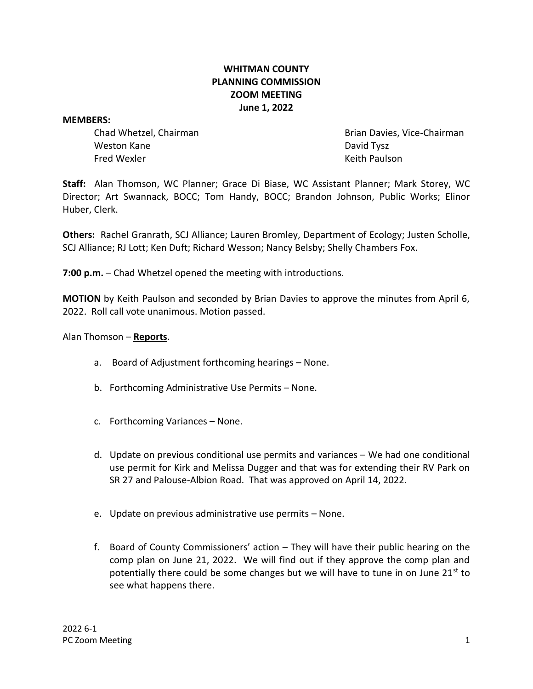# **WHITMAN COUNTY PLANNING COMMISSION ZOOM MEETING June 1, 2022**

#### **MEMBERS:**

Weston Kane David Tysz Fred Wexler Keith Paulson

Chad Whetzel, Chairman Brian Davies, Vice-Chairman

**Staff:** Alan Thomson, WC Planner; Grace Di Biase, WC Assistant Planner; Mark Storey, WC Director; Art Swannack, BOCC; Tom Handy, BOCC; Brandon Johnson, Public Works; Elinor Huber, Clerk.

**Others:** Rachel Granrath, SCJ Alliance; Lauren Bromley, Department of Ecology; Justen Scholle, SCJ Alliance; RJ Lott; Ken Duft; Richard Wesson; Nancy Belsby; Shelly Chambers Fox.

**7:00 p.m.** – Chad Whetzel opened the meeting with introductions.

**MOTION** by Keith Paulson and seconded by Brian Davies to approve the minutes from April 6, 2022. Roll call vote unanimous. Motion passed.

### Alan Thomson – **Reports**.

- a. Board of Adjustment forthcoming hearings None.
- b. Forthcoming Administrative Use Permits None.
- c. Forthcoming Variances None.
- d. Update on previous conditional use permits and variances We had one conditional use permit for Kirk and Melissa Dugger and that was for extending their RV Park on SR 27 and Palouse-Albion Road. That was approved on April 14, 2022.
- e. Update on previous administrative use permits None.
- f. Board of County Commissioners' action They will have their public hearing on the comp plan on June 21, 2022. We will find out if they approve the comp plan and potentially there could be some changes but we will have to tune in on June  $21^{st}$  to see what happens there.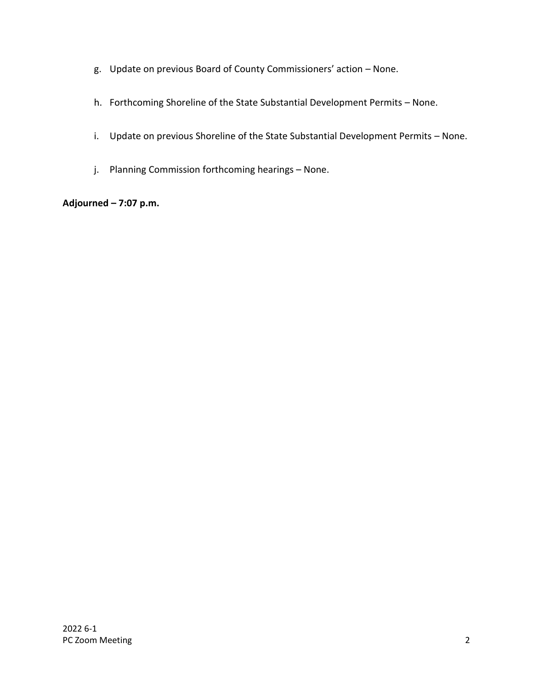- g. Update on previous Board of County Commissioners' action None.
- h. Forthcoming Shoreline of the State Substantial Development Permits None.
- i. Update on previous Shoreline of the State Substantial Development Permits None.
- j. Planning Commission forthcoming hearings None.

# **Adjourned – 7:07 p.m.**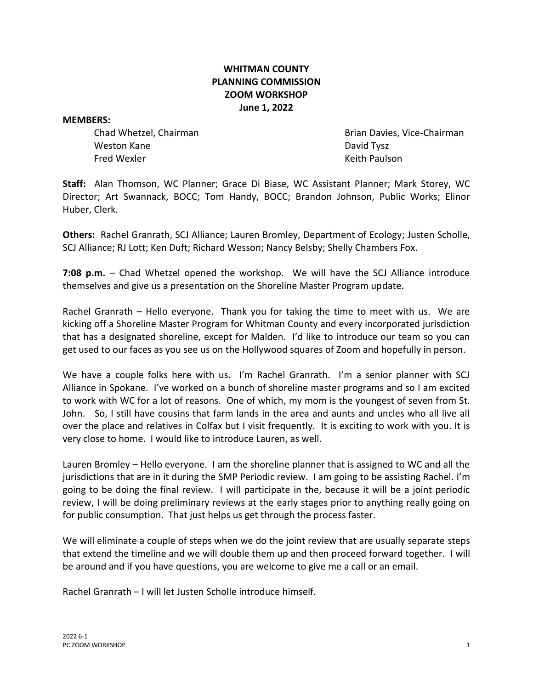# **WHITMAN COUNTY PLANNING COMMISSION ZOOM WORKSHOP June 1, 2022**

#### **MEMBERS:**

Weston Kane David Tysz Fred Wexler Keith Paulson

Chad Whetzel, Chairman Brian Davies, Vice-Chairman

**Staff:** Alan Thomson, WC Planner; Grace Di Biase, WC Assistant Planner; Mark Storey, WC Director; Art Swannack, BOCC; Tom Handy, BOCC; Brandon Johnson, Public Works; Elinor Huber, Clerk.

**Others:** Rachel Granrath, SCJ Alliance; Lauren Bromley, Department of Ecology; Justen Scholle, SCJ Alliance; RJ Lott; Ken Duft; Richard Wesson; Nancy Belsby; Shelly Chambers Fox.

**7:08 p.m.** – Chad Whetzel opened the workshop. We will have the SCJ Alliance introduce themselves and give us a presentation on the Shoreline Master Program update.

Rachel Granrath – Hello everyone. Thank you for taking the time to meet with us. We are kicking off a Shoreline Master Program for Whitman County and every incorporated jurisdiction that has a designated shoreline, except for Malden. I'd like to introduce our team so you can get used to our faces as you see us on the Hollywood squares of Zoom and hopefully in person.

We have a couple folks here with us. I'm Rachel Granrath. I'm a senior planner with SCJ Alliance in Spokane. I've worked on a bunch of shoreline master programs and so I am excited to work with WC for a lot of reasons. One of which, my mom is the youngest of seven from St. John. So, I still have cousins that farm lands in the area and aunts and uncles who all live all over the place and relatives in Colfax but I visit frequently. It is exciting to work with you. It is very close to home. I would like to introduce Lauren, as well.

Lauren Bromley – Hello everyone. I am the shoreline planner that is assigned to WC and all the jurisdictions that are in it during the SMP Periodic review. I am going to be assisting Rachel. I'm going to be doing the final review. I will participate in the, because it will be a joint periodic review, I will be doing preliminary reviews at the early stages prior to anything really going on for public consumption. That just helps us get through the process faster.

We will eliminate a couple of steps when we do the joint review that are usually separate steps that extend the timeline and we will double them up and then proceed forward together. I will be around and if you have questions, you are welcome to give me a call or an email.

Rachel Granrath – I will let Justen Scholle introduce himself.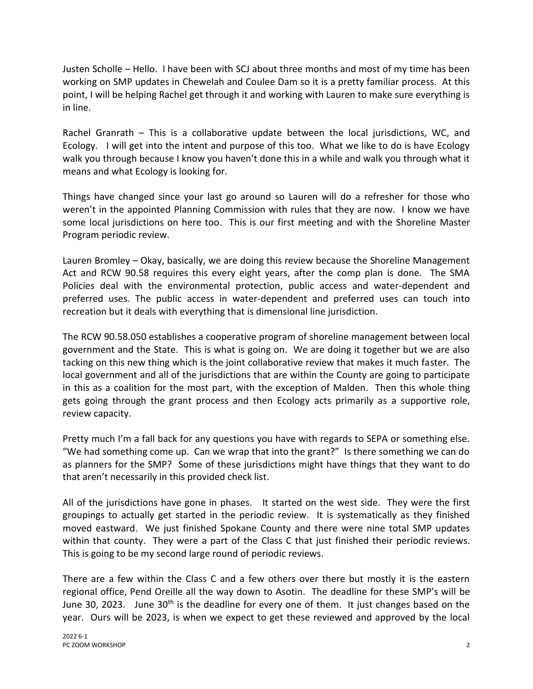Justen Scholle – Hello. I have been with SCJ about three months and most of my time has been working on SMP updates in Chewelah and Coulee Dam so it is a pretty familiar process. At this point, I will be helping Rachel get through it and working with Lauren to make sure everything is in line.

Rachel Granrath – This is a collaborative update between the local jurisdictions, WC, and Ecology. I will get into the intent and purpose of this too. What we like to do is have Ecology walk you through because I know you haven't done this in a while and walk you through what it means and what Ecology is looking for.

Things have changed since your last go around so Lauren will do a refresher for those who weren't in the appointed Planning Commission with rules that they are now. I know we have some local jurisdictions on here too. This is our first meeting and with the Shoreline Master Program periodic review.

Lauren Bromley – Okay, basically, we are doing this review because the Shoreline Management Act and RCW 90.58 requires this every eight years, after the comp plan is done. The SMA Policies deal with the environmental protection, public access and water-dependent and preferred uses. The public access in water-dependent and preferred uses can touch into recreation but it deals with everything that is dimensional line jurisdiction.

The RCW 90.58.050 establishes a cooperative program of shoreline management between local government and the State. This is what is going on. We are doing it together but we are also tacking on this new thing which is the joint collaborative review that makes it much faster. The local government and all of the jurisdictions that are within the County are going to participate in this as a coalition for the most part, with the exception of Malden. Then this whole thing gets going through the grant process and then Ecology acts primarily as a supportive role, review capacity.

Pretty much I'm a fall back for any questions you have with regards to SEPA or something else. "We had something come up. Can we wrap that into the grant?" Is there something we can do as planners for the SMP? Some of these jurisdictions might have things that they want to do that aren't necessarily in this provided check list.

All of the jurisdictions have gone in phases. It started on the west side. They were the first groupings to actually get started in the periodic review. It is systematically as they finished moved eastward. We just finished Spokane County and there were nine total SMP updates within that county. They were a part of the Class C that just finished their periodic reviews. This is going to be my second large round of periodic reviews.

There are a few within the Class C and a few others over there but mostly it is the eastern regional office, Pend Oreille all the way down to Asotin. The deadline for these SMP's will be June 30, 2023. June  $30<sup>th</sup>$  is the deadline for every one of them. It just changes based on the year. Ours will be 2023, is when we expect to get these reviewed and approved by the local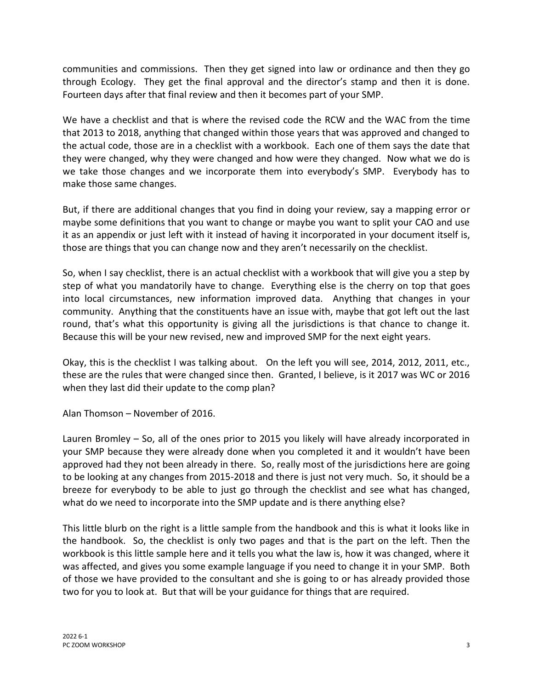communities and commissions. Then they get signed into law or ordinance and then they go through Ecology. They get the final approval and the director's stamp and then it is done. Fourteen days after that final review and then it becomes part of your SMP.

We have a checklist and that is where the revised code the RCW and the WAC from the time that 2013 to 2018, anything that changed within those years that was approved and changed to the actual code, those are in a checklist with a workbook. Each one of them says the date that they were changed, why they were changed and how were they changed. Now what we do is we take those changes and we incorporate them into everybody's SMP. Everybody has to make those same changes.

But, if there are additional changes that you find in doing your review, say a mapping error or maybe some definitions that you want to change or maybe you want to split your CAO and use it as an appendix or just left with it instead of having it incorporated in your document itself is, those are things that you can change now and they aren't necessarily on the checklist.

So, when I say checklist, there is an actual checklist with a workbook that will give you a step by step of what you mandatorily have to change. Everything else is the cherry on top that goes into local circumstances, new information improved data. Anything that changes in your community. Anything that the constituents have an issue with, maybe that got left out the last round, that's what this opportunity is giving all the jurisdictions is that chance to change it. Because this will be your new revised, new and improved SMP for the next eight years.

Okay, this is the checklist I was talking about. On the left you will see, 2014, 2012, 2011, etc., these are the rules that were changed since then. Granted, I believe, is it 2017 was WC or 2016 when they last did their update to the comp plan?

Alan Thomson – November of 2016.

Lauren Bromley – So, all of the ones prior to 2015 you likely will have already incorporated in your SMP because they were already done when you completed it and it wouldn't have been approved had they not been already in there. So, really most of the jurisdictions here are going to be looking at any changes from 2015-2018 and there is just not very much. So, it should be a breeze for everybody to be able to just go through the checklist and see what has changed, what do we need to incorporate into the SMP update and is there anything else?

This little blurb on the right is a little sample from the handbook and this is what it looks like in the handbook. So, the checklist is only two pages and that is the part on the left. Then the workbook is this little sample here and it tells you what the law is, how it was changed, where it was affected, and gives you some example language if you need to change it in your SMP. Both of those we have provided to the consultant and she is going to or has already provided those two for you to look at. But that will be your guidance for things that are required.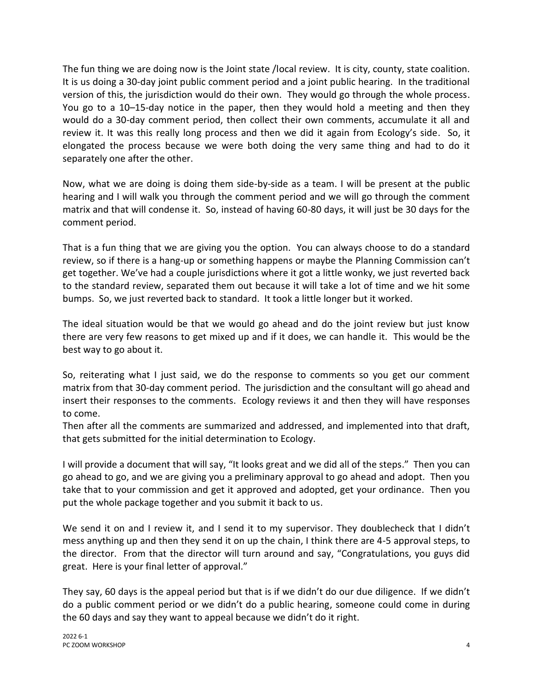The fun thing we are doing now is the Joint state /local review. It is city, county, state coalition. It is us doing a 30-day joint public comment period and a joint public hearing. In the traditional version of this, the jurisdiction would do their own. They would go through the whole process. You go to a 10–15-day notice in the paper, then they would hold a meeting and then they would do a 30-day comment period, then collect their own comments, accumulate it all and review it. It was this really long process and then we did it again from Ecology's side. So, it elongated the process because we were both doing the very same thing and had to do it separately one after the other.

Now, what we are doing is doing them side-by-side as a team. I will be present at the public hearing and I will walk you through the comment period and we will go through the comment matrix and that will condense it. So, instead of having 60-80 days, it will just be 30 days for the comment period.

That is a fun thing that we are giving you the option. You can always choose to do a standard review, so if there is a hang-up or something happens or maybe the Planning Commission can't get together. We've had a couple jurisdictions where it got a little wonky, we just reverted back to the standard review, separated them out because it will take a lot of time and we hit some bumps. So, we just reverted back to standard. It took a little longer but it worked.

The ideal situation would be that we would go ahead and do the joint review but just know there are very few reasons to get mixed up and if it does, we can handle it. This would be the best way to go about it.

So, reiterating what I just said, we do the response to comments so you get our comment matrix from that 30-day comment period. The jurisdiction and the consultant will go ahead and insert their responses to the comments. Ecology reviews it and then they will have responses to come.

Then after all the comments are summarized and addressed, and implemented into that draft, that gets submitted for the initial determination to Ecology.

I will provide a document that will say, "It looks great and we did all of the steps." Then you can go ahead to go, and we are giving you a preliminary approval to go ahead and adopt. Then you take that to your commission and get it approved and adopted, get your ordinance. Then you put the whole package together and you submit it back to us.

We send it on and I review it, and I send it to my supervisor. They doublecheck that I didn't mess anything up and then they send it on up the chain, I think there are 4-5 approval steps, to the director. From that the director will turn around and say, "Congratulations, you guys did great. Here is your final letter of approval."

They say, 60 days is the appeal period but that is if we didn't do our due diligence. If we didn't do a public comment period or we didn't do a public hearing, someone could come in during the 60 days and say they want to appeal because we didn't do it right.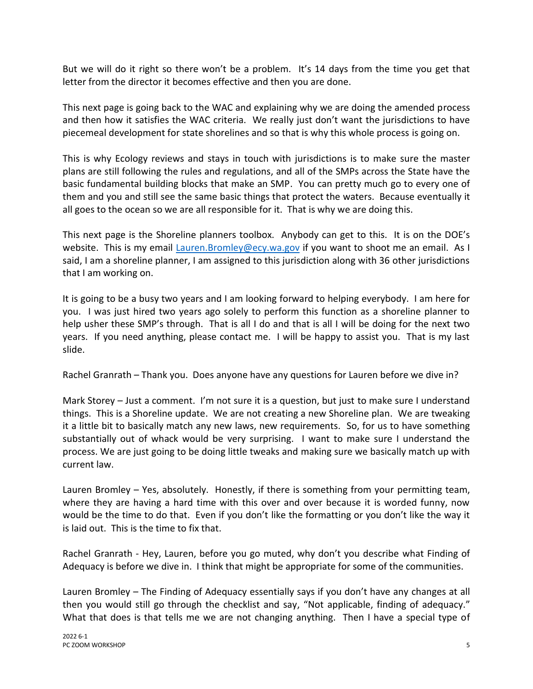But we will do it right so there won't be a problem. It's 14 days from the time you get that letter from the director it becomes effective and then you are done.

This next page is going back to the WAC and explaining why we are doing the amended process and then how it satisfies the WAC criteria. We really just don't want the jurisdictions to have piecemeal development for state shorelines and so that is why this whole process is going on.

This is why Ecology reviews and stays in touch with jurisdictions is to make sure the master plans are still following the rules and regulations, and all of the SMPs across the State have the basic fundamental building blocks that make an SMP. You can pretty much go to every one of them and you and still see the same basic things that protect the waters. Because eventually it all goes to the ocean so we are all responsible for it. That is why we are doing this.

This next page is the Shoreline planners toolbox. Anybody can get to this. It is on the DOE's website. This is my email [Lauren.Bromley@ecy.wa.gov](mailto:Lauren.Bromley@ecy.wa.gov) if you want to shoot me an email. As I said, I am a shoreline planner, I am assigned to this jurisdiction along with 36 other jurisdictions that I am working on.

It is going to be a busy two years and I am looking forward to helping everybody. I am here for you. I was just hired two years ago solely to perform this function as a shoreline planner to help usher these SMP's through. That is all I do and that is all I will be doing for the next two years. If you need anything, please contact me. I will be happy to assist you. That is my last slide.

Rachel Granrath – Thank you. Does anyone have any questions for Lauren before we dive in?

Mark Storey – Just a comment. I'm not sure it is a question, but just to make sure I understand things. This is a Shoreline update. We are not creating a new Shoreline plan. We are tweaking it a little bit to basically match any new laws, new requirements. So, for us to have something substantially out of whack would be very surprising. I want to make sure I understand the process. We are just going to be doing little tweaks and making sure we basically match up with current law.

Lauren Bromley – Yes, absolutely. Honestly, if there is something from your permitting team, where they are having a hard time with this over and over because it is worded funny, now would be the time to do that. Even if you don't like the formatting or you don't like the way it is laid out. This is the time to fix that.

Rachel Granrath - Hey, Lauren, before you go muted, why don't you describe what Finding of Adequacy is before we dive in. I think that might be appropriate for some of the communities.

Lauren Bromley – The Finding of Adequacy essentially says if you don't have any changes at all then you would still go through the checklist and say, "Not applicable, finding of adequacy." What that does is that tells me we are not changing anything. Then I have a special type of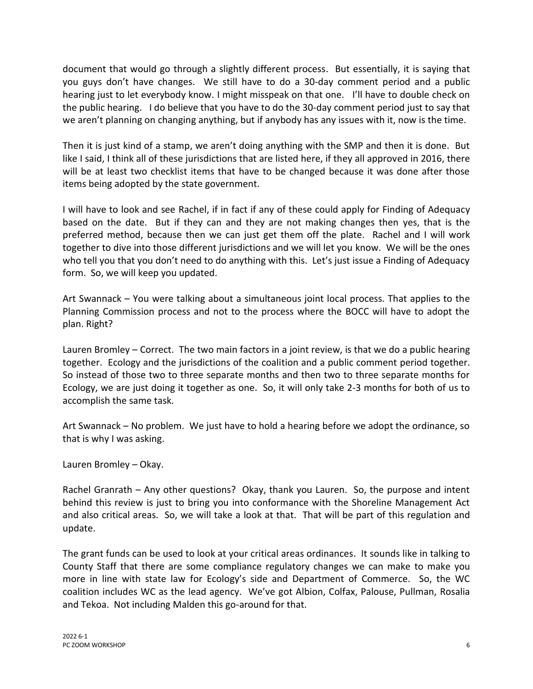document that would go through a slightly different process. But essentially, it is saying that you guys don't have changes. We still have to do a 30-day comment period and a public hearing just to let everybody know. I might misspeak on that one. I'll have to double check on the public hearing. I do believe that you have to do the 30-day comment period just to say that we aren't planning on changing anything, but if anybody has any issues with it, now is the time.

Then it is just kind of a stamp, we aren't doing anything with the SMP and then it is done. But like I said, I think all of these jurisdictions that are listed here, if they all approved in 2016, there will be at least two checklist items that have to be changed because it was done after those items being adopted by the state government.

I will have to look and see Rachel, if in fact if any of these could apply for Finding of Adequacy based on the date. But if they can and they are not making changes then yes, that is the preferred method, because then we can just get them off the plate. Rachel and I will work together to dive into those different jurisdictions and we will let you know. We will be the ones who tell you that you don't need to do anything with this. Let's just issue a Finding of Adequacy form. So, we will keep you updated.

Art Swannack – You were talking about a simultaneous joint local process. That applies to the Planning Commission process and not to the process where the BOCC will have to adopt the plan. Right?

Lauren Bromley – Correct. The two main factors in a joint review, is that we do a public hearing together. Ecology and the jurisdictions of the coalition and a public comment period together. So instead of those two to three separate months and then two to three separate months for Ecology, we are just doing it together as one. So, it will only take 2-3 months for both of us to accomplish the same task.

Art Swannack – No problem. We just have to hold a hearing before we adopt the ordinance, so that is why I was asking.

Lauren Bromley – Okay.

Rachel Granrath – Any other questions? Okay, thank you Lauren. So, the purpose and intent behind this review is just to bring you into conformance with the Shoreline Management Act and also critical areas. So, we will take a look at that. That will be part of this regulation and update.

The grant funds can be used to look at your critical areas ordinances. It sounds like in talking to County Staff that there are some compliance regulatory changes we can make to make you more in line with state law for Ecology's side and Department of Commerce. So, the WC coalition includes WC as the lead agency. We've got Albion, Colfax, Palouse, Pullman, Rosalia and Tekoa. Not including Malden this go-around for that.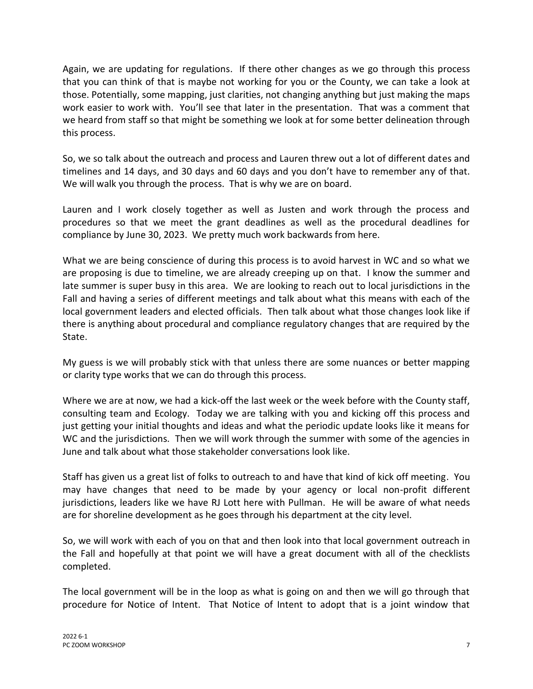Again, we are updating for regulations. If there other changes as we go through this process that you can think of that is maybe not working for you or the County, we can take a look at those. Potentially, some mapping, just clarities, not changing anything but just making the maps work easier to work with. You'll see that later in the presentation. That was a comment that we heard from staff so that might be something we look at for some better delineation through this process.

So, we so talk about the outreach and process and Lauren threw out a lot of different dates and timelines and 14 days, and 30 days and 60 days and you don't have to remember any of that. We will walk you through the process. That is why we are on board.

Lauren and I work closely together as well as Justen and work through the process and procedures so that we meet the grant deadlines as well as the procedural deadlines for compliance by June 30, 2023. We pretty much work backwards from here.

What we are being conscience of during this process is to avoid harvest in WC and so what we are proposing is due to timeline, we are already creeping up on that. I know the summer and late summer is super busy in this area. We are looking to reach out to local jurisdictions in the Fall and having a series of different meetings and talk about what this means with each of the local government leaders and elected officials. Then talk about what those changes look like if there is anything about procedural and compliance regulatory changes that are required by the State.

My guess is we will probably stick with that unless there are some nuances or better mapping or clarity type works that we can do through this process.

Where we are at now, we had a kick-off the last week or the week before with the County staff, consulting team and Ecology. Today we are talking with you and kicking off this process and just getting your initial thoughts and ideas and what the periodic update looks like it means for WC and the jurisdictions. Then we will work through the summer with some of the agencies in June and talk about what those stakeholder conversations look like.

Staff has given us a great list of folks to outreach to and have that kind of kick off meeting. You may have changes that need to be made by your agency or local non-profit different jurisdictions, leaders like we have RJ Lott here with Pullman. He will be aware of what needs are for shoreline development as he goes through his department at the city level.

So, we will work with each of you on that and then look into that local government outreach in the Fall and hopefully at that point we will have a great document with all of the checklists completed.

The local government will be in the loop as what is going on and then we will go through that procedure for Notice of Intent. That Notice of Intent to adopt that is a joint window that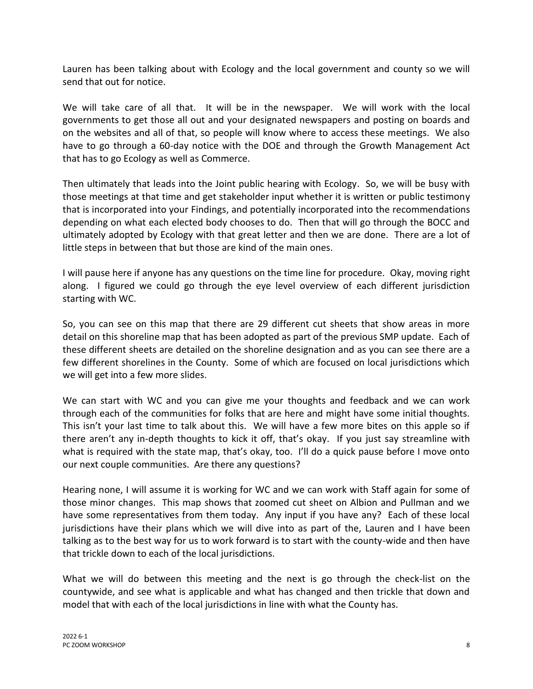Lauren has been talking about with Ecology and the local government and county so we will send that out for notice.

We will take care of all that. It will be in the newspaper. We will work with the local governments to get those all out and your designated newspapers and posting on boards and on the websites and all of that, so people will know where to access these meetings. We also have to go through a 60-day notice with the DOE and through the Growth Management Act that has to go Ecology as well as Commerce.

Then ultimately that leads into the Joint public hearing with Ecology. So, we will be busy with those meetings at that time and get stakeholder input whether it is written or public testimony that is incorporated into your Findings, and potentially incorporated into the recommendations depending on what each elected body chooses to do. Then that will go through the BOCC and ultimately adopted by Ecology with that great letter and then we are done. There are a lot of little steps in between that but those are kind of the main ones.

I will pause here if anyone has any questions on the time line for procedure. Okay, moving right along. I figured we could go through the eye level overview of each different jurisdiction starting with WC.

So, you can see on this map that there are 29 different cut sheets that show areas in more detail on this shoreline map that has been adopted as part of the previous SMP update. Each of these different sheets are detailed on the shoreline designation and as you can see there are a few different shorelines in the County. Some of which are focused on local jurisdictions which we will get into a few more slides.

We can start with WC and you can give me your thoughts and feedback and we can work through each of the communities for folks that are here and might have some initial thoughts. This isn't your last time to talk about this. We will have a few more bites on this apple so if there aren't any in-depth thoughts to kick it off, that's okay. If you just say streamline with what is required with the state map, that's okay, too. I'll do a quick pause before I move onto our next couple communities. Are there any questions?

Hearing none, I will assume it is working for WC and we can work with Staff again for some of those minor changes. This map shows that zoomed cut sheet on Albion and Pullman and we have some representatives from them today. Any input if you have any? Each of these local jurisdictions have their plans which we will dive into as part of the, Lauren and I have been talking as to the best way for us to work forward is to start with the county-wide and then have that trickle down to each of the local jurisdictions.

What we will do between this meeting and the next is go through the check-list on the countywide, and see what is applicable and what has changed and then trickle that down and model that with each of the local jurisdictions in line with what the County has.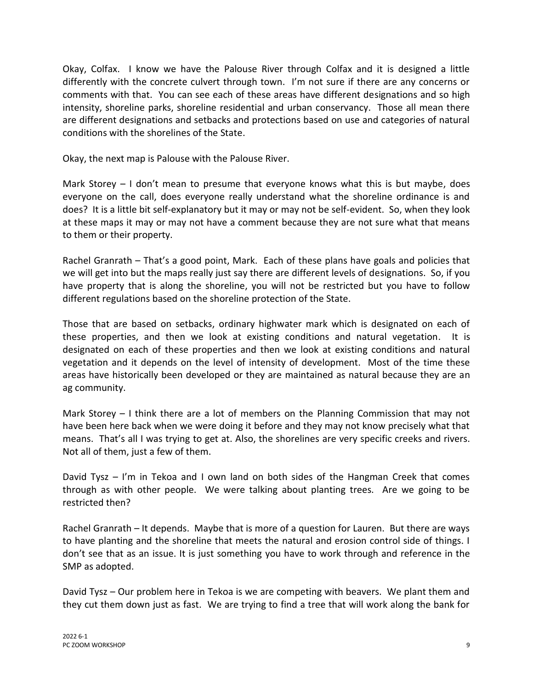Okay, Colfax. I know we have the Palouse River through Colfax and it is designed a little differently with the concrete culvert through town. I'm not sure if there are any concerns or comments with that. You can see each of these areas have different designations and so high intensity, shoreline parks, shoreline residential and urban conservancy. Those all mean there are different designations and setbacks and protections based on use and categories of natural conditions with the shorelines of the State.

Okay, the next map is Palouse with the Palouse River.

Mark Storey – I don't mean to presume that everyone knows what this is but maybe, does everyone on the call, does everyone really understand what the shoreline ordinance is and does? It is a little bit self-explanatory but it may or may not be self-evident. So, when they look at these maps it may or may not have a comment because they are not sure what that means to them or their property.

Rachel Granrath – That's a good point, Mark. Each of these plans have goals and policies that we will get into but the maps really just say there are different levels of designations. So, if you have property that is along the shoreline, you will not be restricted but you have to follow different regulations based on the shoreline protection of the State.

Those that are based on setbacks, ordinary highwater mark which is designated on each of these properties, and then we look at existing conditions and natural vegetation. It is designated on each of these properties and then we look at existing conditions and natural vegetation and it depends on the level of intensity of development. Most of the time these areas have historically been developed or they are maintained as natural because they are an ag community.

Mark Storey – I think there are a lot of members on the Planning Commission that may not have been here back when we were doing it before and they may not know precisely what that means. That's all I was trying to get at. Also, the shorelines are very specific creeks and rivers. Not all of them, just a few of them.

David Tysz – I'm in Tekoa and I own land on both sides of the Hangman Creek that comes through as with other people. We were talking about planting trees. Are we going to be restricted then?

Rachel Granrath – It depends. Maybe that is more of a question for Lauren. But there are ways to have planting and the shoreline that meets the natural and erosion control side of things. I don't see that as an issue. It is just something you have to work through and reference in the SMP as adopted.

David Tysz – Our problem here in Tekoa is we are competing with beavers. We plant them and they cut them down just as fast. We are trying to find a tree that will work along the bank for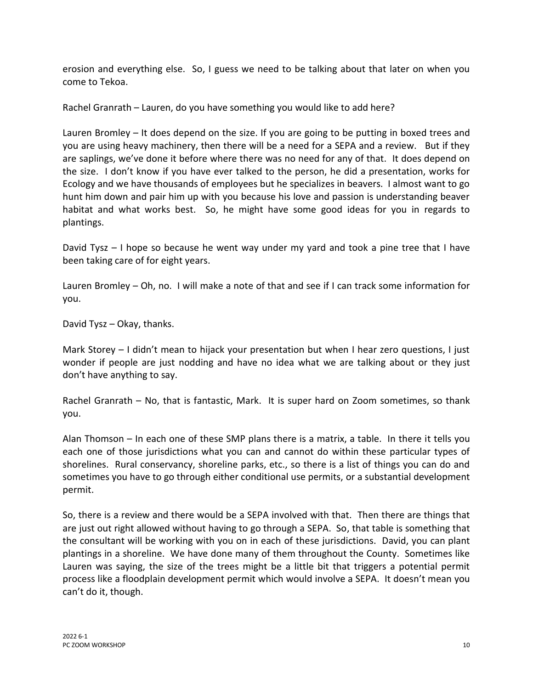erosion and everything else. So, I guess we need to be talking about that later on when you come to Tekoa.

Rachel Granrath – Lauren, do you have something you would like to add here?

Lauren Bromley – It does depend on the size. If you are going to be putting in boxed trees and you are using heavy machinery, then there will be a need for a SEPA and a review. But if they are saplings, we've done it before where there was no need for any of that. It does depend on the size. I don't know if you have ever talked to the person, he did a presentation, works for Ecology and we have thousands of employees but he specializes in beavers. I almost want to go hunt him down and pair him up with you because his love and passion is understanding beaver habitat and what works best. So, he might have some good ideas for you in regards to plantings.

David Tysz – I hope so because he went way under my yard and took a pine tree that I have been taking care of for eight years.

Lauren Bromley – Oh, no. I will make a note of that and see if I can track some information for you.

David Tysz – Okay, thanks.

Mark Storey – I didn't mean to hijack your presentation but when I hear zero questions, I just wonder if people are just nodding and have no idea what we are talking about or they just don't have anything to say.

Rachel Granrath – No, that is fantastic, Mark. It is super hard on Zoom sometimes, so thank you.

Alan Thomson – In each one of these SMP plans there is a matrix, a table. In there it tells you each one of those jurisdictions what you can and cannot do within these particular types of shorelines. Rural conservancy, shoreline parks, etc., so there is a list of things you can do and sometimes you have to go through either conditional use permits, or a substantial development permit.

So, there is a review and there would be a SEPA involved with that. Then there are things that are just out right allowed without having to go through a SEPA. So, that table is something that the consultant will be working with you on in each of these jurisdictions. David, you can plant plantings in a shoreline. We have done many of them throughout the County. Sometimes like Lauren was saying, the size of the trees might be a little bit that triggers a potential permit process like a floodplain development permit which would involve a SEPA. It doesn't mean you can't do it, though.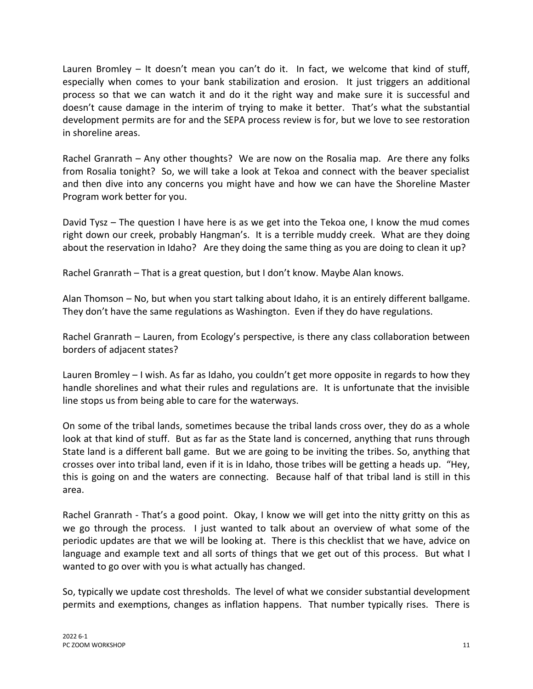Lauren Bromley – It doesn't mean you can't do it. In fact, we welcome that kind of stuff, especially when comes to your bank stabilization and erosion. It just triggers an additional process so that we can watch it and do it the right way and make sure it is successful and doesn't cause damage in the interim of trying to make it better. That's what the substantial development permits are for and the SEPA process review is for, but we love to see restoration in shoreline areas.

Rachel Granrath – Any other thoughts? We are now on the Rosalia map. Are there any folks from Rosalia tonight? So, we will take a look at Tekoa and connect with the beaver specialist and then dive into any concerns you might have and how we can have the Shoreline Master Program work better for you.

David Tysz – The question I have here is as we get into the Tekoa one, I know the mud comes right down our creek, probably Hangman's. It is a terrible muddy creek. What are they doing about the reservation in Idaho? Are they doing the same thing as you are doing to clean it up?

Rachel Granrath – That is a great question, but I don't know. Maybe Alan knows.

Alan Thomson – No, but when you start talking about Idaho, it is an entirely different ballgame. They don't have the same regulations as Washington. Even if they do have regulations.

Rachel Granrath – Lauren, from Ecology's perspective, is there any class collaboration between borders of adjacent states?

Lauren Bromley – I wish. As far as Idaho, you couldn't get more opposite in regards to how they handle shorelines and what their rules and regulations are. It is unfortunate that the invisible line stops us from being able to care for the waterways.

On some of the tribal lands, sometimes because the tribal lands cross over, they do as a whole look at that kind of stuff. But as far as the State land is concerned, anything that runs through State land is a different ball game. But we are going to be inviting the tribes. So, anything that crosses over into tribal land, even if it is in Idaho, those tribes will be getting a heads up. "Hey, this is going on and the waters are connecting. Because half of that tribal land is still in this area.

Rachel Granrath - That's a good point. Okay, I know we will get into the nitty gritty on this as we go through the process. I just wanted to talk about an overview of what some of the periodic updates are that we will be looking at. There is this checklist that we have, advice on language and example text and all sorts of things that we get out of this process. But what I wanted to go over with you is what actually has changed.

So, typically we update cost thresholds. The level of what we consider substantial development permits and exemptions, changes as inflation happens. That number typically rises. There is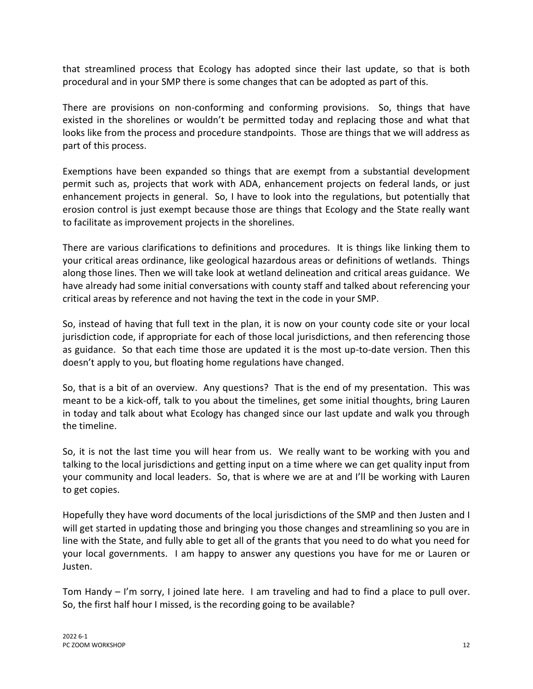that streamlined process that Ecology has adopted since their last update, so that is both procedural and in your SMP there is some changes that can be adopted as part of this.

There are provisions on non-conforming and conforming provisions. So, things that have existed in the shorelines or wouldn't be permitted today and replacing those and what that looks like from the process and procedure standpoints. Those are things that we will address as part of this process.

Exemptions have been expanded so things that are exempt from a substantial development permit such as, projects that work with ADA, enhancement projects on federal lands, or just enhancement projects in general. So, I have to look into the regulations, but potentially that erosion control is just exempt because those are things that Ecology and the State really want to facilitate as improvement projects in the shorelines.

There are various clarifications to definitions and procedures. It is things like linking them to your critical areas ordinance, like geological hazardous areas or definitions of wetlands. Things along those lines. Then we will take look at wetland delineation and critical areas guidance. We have already had some initial conversations with county staff and talked about referencing your critical areas by reference and not having the text in the code in your SMP.

So, instead of having that full text in the plan, it is now on your county code site or your local jurisdiction code, if appropriate for each of those local jurisdictions, and then referencing those as guidance. So that each time those are updated it is the most up-to-date version. Then this doesn't apply to you, but floating home regulations have changed.

So, that is a bit of an overview. Any questions? That is the end of my presentation. This was meant to be a kick-off, talk to you about the timelines, get some initial thoughts, bring Lauren in today and talk about what Ecology has changed since our last update and walk you through the timeline.

So, it is not the last time you will hear from us. We really want to be working with you and talking to the local jurisdictions and getting input on a time where we can get quality input from your community and local leaders. So, that is where we are at and I'll be working with Lauren to get copies.

Hopefully they have word documents of the local jurisdictions of the SMP and then Justen and I will get started in updating those and bringing you those changes and streamlining so you are in line with the State, and fully able to get all of the grants that you need to do what you need for your local governments. I am happy to answer any questions you have for me or Lauren or Justen.

Tom Handy – I'm sorry, I joined late here. I am traveling and had to find a place to pull over. So, the first half hour I missed, is the recording going to be available?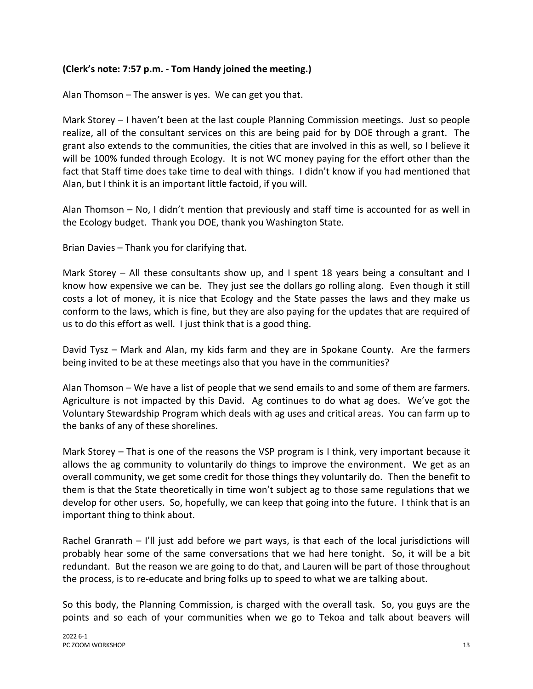### **(Clerk's note: 7:57 p.m. - Tom Handy joined the meeting.)**

Alan Thomson – The answer is yes. We can get you that.

Mark Storey – I haven't been at the last couple Planning Commission meetings. Just so people realize, all of the consultant services on this are being paid for by DOE through a grant. The grant also extends to the communities, the cities that are involved in this as well, so I believe it will be 100% funded through Ecology. It is not WC money paying for the effort other than the fact that Staff time does take time to deal with things. I didn't know if you had mentioned that Alan, but I think it is an important little factoid, if you will.

Alan Thomson – No, I didn't mention that previously and staff time is accounted for as well in the Ecology budget. Thank you DOE, thank you Washington State.

Brian Davies – Thank you for clarifying that.

Mark Storey – All these consultants show up, and I spent 18 years being a consultant and I know how expensive we can be. They just see the dollars go rolling along. Even though it still costs a lot of money, it is nice that Ecology and the State passes the laws and they make us conform to the laws, which is fine, but they are also paying for the updates that are required of us to do this effort as well. I just think that is a good thing.

David Tysz – Mark and Alan, my kids farm and they are in Spokane County. Are the farmers being invited to be at these meetings also that you have in the communities?

Alan Thomson – We have a list of people that we send emails to and some of them are farmers. Agriculture is not impacted by this David. Ag continues to do what ag does. We've got the Voluntary Stewardship Program which deals with ag uses and critical areas. You can farm up to the banks of any of these shorelines.

Mark Storey – That is one of the reasons the VSP program is I think, very important because it allows the ag community to voluntarily do things to improve the environment. We get as an overall community, we get some credit for those things they voluntarily do. Then the benefit to them is that the State theoretically in time won't subject ag to those same regulations that we develop for other users. So, hopefully, we can keep that going into the future. I think that is an important thing to think about.

Rachel Granrath – I'll just add before we part ways, is that each of the local jurisdictions will probably hear some of the same conversations that we had here tonight. So, it will be a bit redundant. But the reason we are going to do that, and Lauren will be part of those throughout the process, is to re-educate and bring folks up to speed to what we are talking about.

So this body, the Planning Commission, is charged with the overall task. So, you guys are the points and so each of your communities when we go to Tekoa and talk about beavers will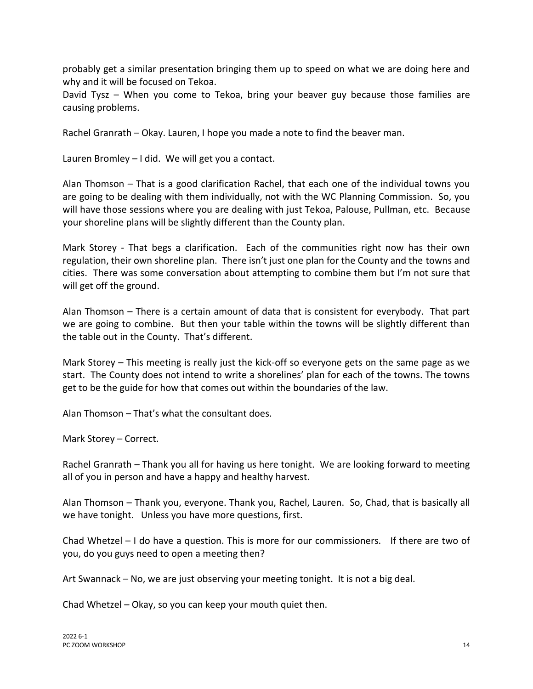probably get a similar presentation bringing them up to speed on what we are doing here and why and it will be focused on Tekoa.

David Tysz – When you come to Tekoa, bring your beaver guy because those families are causing problems.

Rachel Granrath – Okay. Lauren, I hope you made a note to find the beaver man.

Lauren Bromley – I did. We will get you a contact.

Alan Thomson – That is a good clarification Rachel, that each one of the individual towns you are going to be dealing with them individually, not with the WC Planning Commission. So, you will have those sessions where you are dealing with just Tekoa, Palouse, Pullman, etc. Because your shoreline plans will be slightly different than the County plan.

Mark Storey - That begs a clarification. Each of the communities right now has their own regulation, their own shoreline plan. There isn't just one plan for the County and the towns and cities. There was some conversation about attempting to combine them but I'm not sure that will get off the ground.

Alan Thomson – There is a certain amount of data that is consistent for everybody. That part we are going to combine. But then your table within the towns will be slightly different than the table out in the County. That's different.

Mark Storey – This meeting is really just the kick-off so everyone gets on the same page as we start. The County does not intend to write a shorelines' plan for each of the towns. The towns get to be the guide for how that comes out within the boundaries of the law.

Alan Thomson – That's what the consultant does.

Mark Storey – Correct.

Rachel Granrath – Thank you all for having us here tonight. We are looking forward to meeting all of you in person and have a happy and healthy harvest.

Alan Thomson – Thank you, everyone. Thank you, Rachel, Lauren. So, Chad, that is basically all we have tonight. Unless you have more questions, first.

Chad Whetzel – I do have a question. This is more for our commissioners. If there are two of you, do you guys need to open a meeting then?

Art Swannack – No, we are just observing your meeting tonight. It is not a big deal.

Chad Whetzel – Okay, so you can keep your mouth quiet then.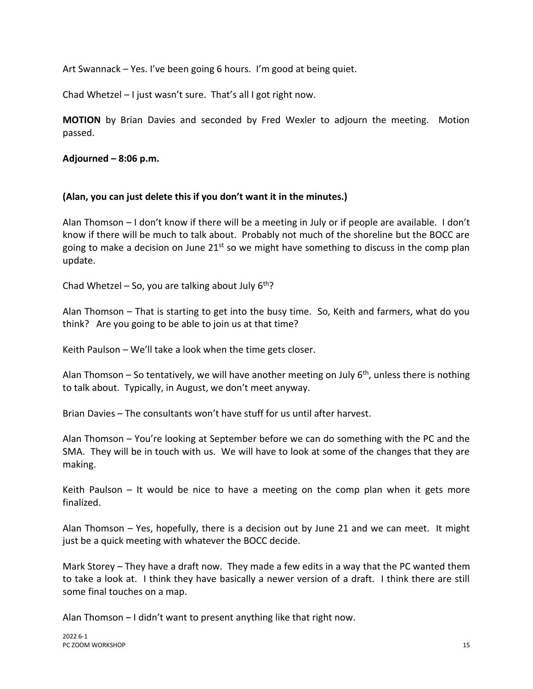Art Swannack – Yes. I've been going 6 hours. I'm good at being quiet.

Chad Whetzel – I just wasn't sure. That's all I got right now.

**MOTION** by Brian Davies and seconded by Fred Wexler to adjourn the meeting. Motion passed.

**Adjourned – 8:06 p.m.**

### **(Alan, you can just delete this if you don't want it in the minutes.)**

Alan Thomson – I don't know if there will be a meeting in July or if people are available. I don't know if there will be much to talk about. Probably not much of the shoreline but the BOCC are going to make a decision on June 21<sup>st</sup> so we might have something to discuss in the comp plan update.

Chad Whetzel – So, you are talking about July  $6<sup>th</sup>$ ?

Alan Thomson – That is starting to get into the busy time. So, Keith and farmers, what do you think? Are you going to be able to join us at that time?

Keith Paulson – We'll take a look when the time gets closer.

Alan Thomson – So tentatively, we will have another meeting on July  $6<sup>th</sup>$ , unless there is nothing to talk about. Typically, in August, we don't meet anyway.

Brian Davies – The consultants won't have stuff for us until after harvest.

Alan Thomson – You're looking at September before we can do something with the PC and the SMA. They will be in touch with us. We will have to look at some of the changes that they are making.

Keith Paulson – It would be nice to have a meeting on the comp plan when it gets more finalized.

Alan Thomson – Yes, hopefully, there is a decision out by June 21 and we can meet. It might just be a quick meeting with whatever the BOCC decide.

Mark Storey – They have a draft now. They made a few edits in a way that the PC wanted them to take a look at. I think they have basically a newer version of a draft. I think there are still some final touches on a map.

Alan Thomson – I didn't want to present anything like that right now.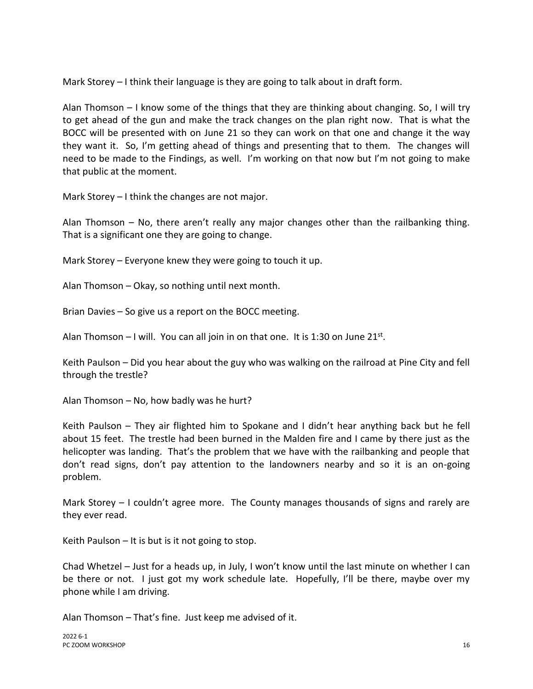Mark Storey – I think their language is they are going to talk about in draft form.

Alan Thomson – I know some of the things that they are thinking about changing. So, I will try to get ahead of the gun and make the track changes on the plan right now. That is what the BOCC will be presented with on June 21 so they can work on that one and change it the way they want it. So, I'm getting ahead of things and presenting that to them. The changes will need to be made to the Findings, as well. I'm working on that now but I'm not going to make that public at the moment.

Mark Storey – I think the changes are not major.

Alan Thomson – No, there aren't really any major changes other than the railbanking thing. That is a significant one they are going to change.

Mark Storey – Everyone knew they were going to touch it up.

Alan Thomson – Okay, so nothing until next month.

Brian Davies – So give us a report on the BOCC meeting.

Alan Thomson  $-1$  will. You can all join in on that one. It is 1:30 on June 21st.

Keith Paulson – Did you hear about the guy who was walking on the railroad at Pine City and fell through the trestle?

Alan Thomson – No, how badly was he hurt?

Keith Paulson – They air flighted him to Spokane and I didn't hear anything back but he fell about 15 feet. The trestle had been burned in the Malden fire and I came by there just as the helicopter was landing. That's the problem that we have with the railbanking and people that don't read signs, don't pay attention to the landowners nearby and so it is an on-going problem.

Mark Storey – I couldn't agree more. The County manages thousands of signs and rarely are they ever read.

Keith Paulson  $-$  It is but is it not going to stop.

Chad Whetzel – Just for a heads up, in July, I won't know until the last minute on whether I can be there or not. I just got my work schedule late. Hopefully, I'll be there, maybe over my phone while I am driving.

Alan Thomson – That's fine. Just keep me advised of it.